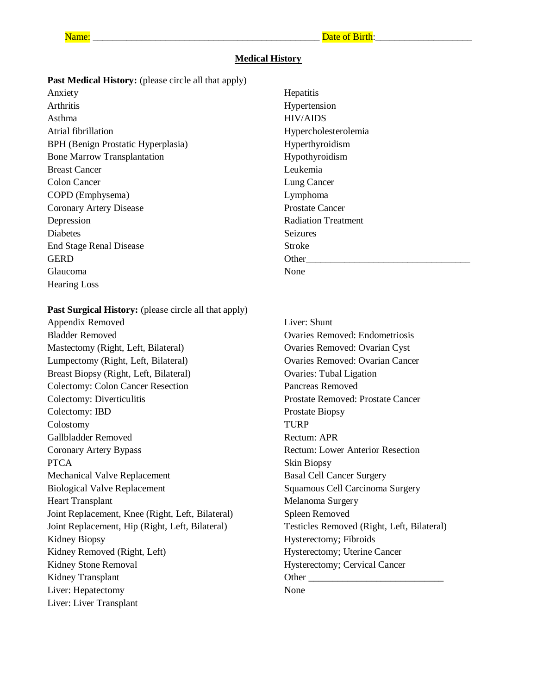#### **Medical History**

Past Medical History: (please circle all that apply)

Anxiety Arthritis Asthma Atrial fibrillation BPH (Benign Prostatic Hyperplasia) Bone Marrow Transplantation Breast Cancer Colon Cancer COPD (Emphysema) Coronary Artery Disease Depression Diabetes End Stage Renal Disease GERD Glaucoma Hearing Loss

Past Surgical History: (please circle all that apply)

Appendix Removed Bladder Removed Mastectomy (Right, Left, Bilateral) Lumpectomy (Right, Left, Bilateral) Breast Biopsy (Right, Left, Bilateral) Colectomy: Colon Cancer Resection Colectomy: Diverticulitis Colectomy: IBD Colostomy Gallbladder Removed Coronary Artery Bypass **PTCA** Mechanical Valve Replacement Biological Valve Replacement Heart Transplant Joint Replacement, Knee (Right, Left, Bilateral) Joint Replacement, Hip (Right, Left, Bilateral) Kidney Biopsy Kidney Removed (Right, Left) Kidney Stone Removal Kidney Transplant Liver: Hepatectomy Liver: Liver Transplant

**Hepatitis** Hypertension HIV/AIDS Hypercholesterolemia Hyperthyroidism Hypothyroidism Leukemia Lung Cancer Lymphoma Prostate Cancer Radiation Treatment **Seizures** Stroke Other None

Liver: Shunt Ovaries Removed: Endometriosis Ovaries Removed: Ovarian Cyst Ovaries Removed: Ovarian Cancer Ovaries: Tubal Ligation Pancreas Removed Prostate Removed: Prostate Cancer Prostate Biopsy TURP Rectum: APR Rectum: Lower Anterior Resection Skin Biopsy Basal Cell Cancer Surgery Squamous Cell Carcinoma Surgery Melanoma Surgery Spleen Removed Testicles Removed (Right, Left, Bilateral) Hysterectomy; Fibroids Hysterectomy; Uterine Cancer Hysterectomy; Cervical Cancer Other \_\_\_\_\_\_\_\_\_\_\_\_\_\_\_\_\_\_\_\_\_\_\_\_\_\_\_\_ None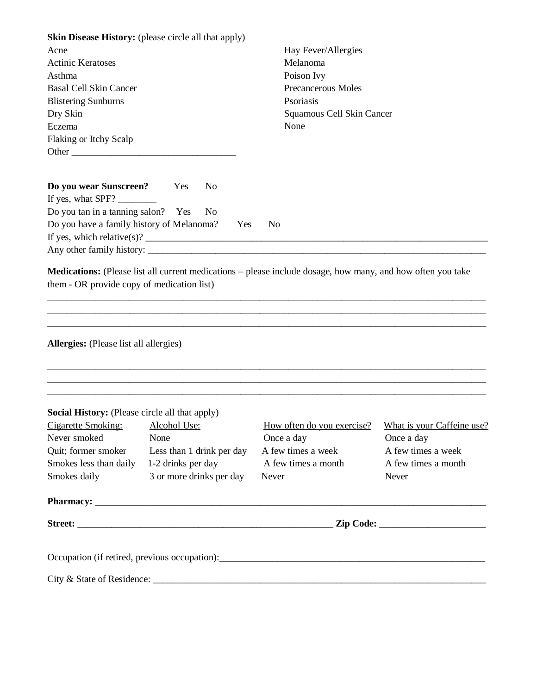| Skin Disease History: (please circle all that apply)                              |                    |                           |                                                              |                     |  |
|-----------------------------------------------------------------------------------|--------------------|---------------------------|--------------------------------------------------------------|---------------------|--|
| Acne                                                                              |                    |                           | Hay Fever/Allergies                                          |                     |  |
| <b>Actinic Keratoses</b>                                                          |                    |                           | Melanoma                                                     |                     |  |
| Asthma                                                                            |                    |                           | Poison Ivy                                                   |                     |  |
| <b>Basal Cell Skin Cancer</b>                                                     |                    |                           | Precancerous Moles<br>Psoriasis<br>Squamous Cell Skin Cancer |                     |  |
| <b>Blistering Sunburns</b>                                                        |                    |                           |                                                              |                     |  |
| Dry Skin                                                                          |                    |                           |                                                              |                     |  |
| Eczema                                                                            |                    |                           | None                                                         |                     |  |
| Flaking or Itchy Scalp                                                            |                    |                           |                                                              |                     |  |
|                                                                                   |                    |                           |                                                              |                     |  |
| Do you wear Sunscreen?<br>If yes, what SPF?                                       | Yes                | N <sub>0</sub>            |                                                              |                     |  |
| Do you tan in a tanning salon? Yes                                                |                    | N <sub>0</sub>            |                                                              |                     |  |
| Do you have a family history of Melanoma?                                         |                    | Yes                       | N <sub>0</sub>                                               |                     |  |
|                                                                                   |                    |                           |                                                              |                     |  |
|                                                                                   |                    |                           |                                                              |                     |  |
| Allergies: (Please list all allergies)                                            |                    |                           |                                                              |                     |  |
| Social History: (Please circle all that apply)<br>Cigarette Smoking: Alcohol Use: |                    |                           | How often do you exercise? What is your Caffeine use?        |                     |  |
| Never smoked                                                                      | None               |                           | Once a day                                                   | Once a day          |  |
| Quit; former smoker                                                               |                    | Less than 1 drink per day | A few times a week                                           | A few times a week  |  |
| Smokes less than daily                                                            | 1-2 drinks per day |                           | A few times a month                                          | A few times a month |  |
| Smokes daily                                                                      |                    | 3 or more drinks per day  | Never                                                        | Never               |  |
|                                                                                   |                    |                           |                                                              |                     |  |
|                                                                                   |                    |                           |                                                              |                     |  |
|                                                                                   |                    |                           | Occupation (if retired, previous occupation):                |                     |  |
|                                                                                   |                    |                           |                                                              |                     |  |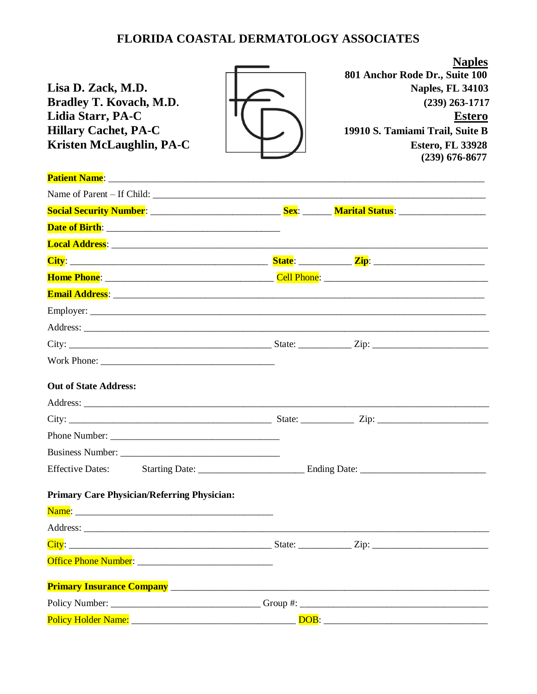#### FLORIDA COASTAL DERMATOLOGY ASSOCIATES

Lisa D. Zack, M.D. **Bradley T. Kovach, M.D.** Lidia Starr, PA-C **Hillary Cachet, PA-C** Kristen McLaughlin, PA-C



801 Anchor Rode Dr., Suite 100 **Naples, FL 34103**  $(239)$  263-1717 **Estero** 19910 S. Tamiami Trail, Suite B **Estero, FL 33928**  $(239)$  676-8677

**Naples** 

| Patient Name: <u>December 2008</u>                                                                                                                                                                                                  |      |  |
|-------------------------------------------------------------------------------------------------------------------------------------------------------------------------------------------------------------------------------------|------|--|
|                                                                                                                                                                                                                                     |      |  |
| Social Security Number: __________________________________Sex: __________Marital Status: _____________________                                                                                                                      |      |  |
|                                                                                                                                                                                                                                     |      |  |
|                                                                                                                                                                                                                                     |      |  |
|                                                                                                                                                                                                                                     |      |  |
|                                                                                                                                                                                                                                     |      |  |
|                                                                                                                                                                                                                                     |      |  |
|                                                                                                                                                                                                                                     |      |  |
|                                                                                                                                                                                                                                     |      |  |
|                                                                                                                                                                                                                                     |      |  |
|                                                                                                                                                                                                                                     |      |  |
| <b>Out of State Address:</b>                                                                                                                                                                                                        |      |  |
|                                                                                                                                                                                                                                     |      |  |
|                                                                                                                                                                                                                                     |      |  |
|                                                                                                                                                                                                                                     |      |  |
|                                                                                                                                                                                                                                     |      |  |
| <b>Effective Dates:</b>                                                                                                                                                                                                             |      |  |
| <b>Primary Care Physician/Referring Physician:</b>                                                                                                                                                                                  |      |  |
|                                                                                                                                                                                                                                     |      |  |
| Address: <u>Address:</u> Address: Address: Address: Address: Address: Address: Address: Address: Address: Address: Address: Address: Address: Address: Address: Address: Address: Address: Address: Address: Address: Address: Addr |      |  |
|                                                                                                                                                                                                                                     |      |  |
|                                                                                                                                                                                                                                     |      |  |
|                                                                                                                                                                                                                                     |      |  |
|                                                                                                                                                                                                                                     |      |  |
| <b>Policy Holder Name:</b>                                                                                                                                                                                                          | DOB: |  |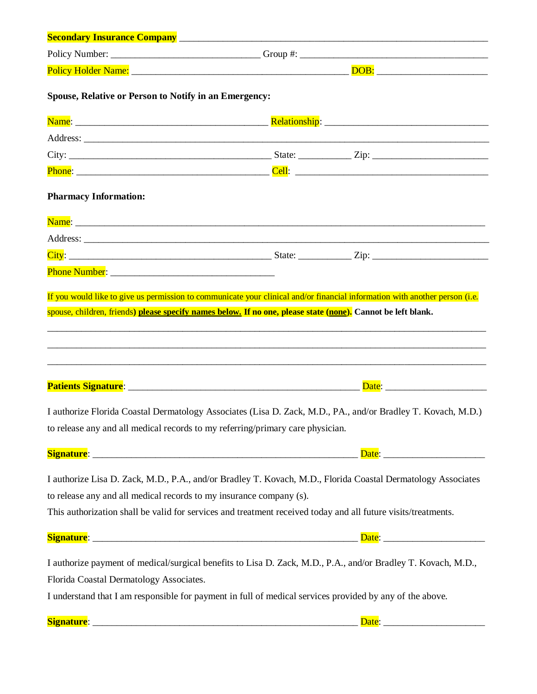| Spouse, Relative or Person to Notify in an Emergency:                                                                                                                                                                                                                                                |  |  |
|------------------------------------------------------------------------------------------------------------------------------------------------------------------------------------------------------------------------------------------------------------------------------------------------------|--|--|
|                                                                                                                                                                                                                                                                                                      |  |  |
|                                                                                                                                                                                                                                                                                                      |  |  |
|                                                                                                                                                                                                                                                                                                      |  |  |
|                                                                                                                                                                                                                                                                                                      |  |  |
| <b>Pharmacy Information:</b>                                                                                                                                                                                                                                                                         |  |  |
|                                                                                                                                                                                                                                                                                                      |  |  |
|                                                                                                                                                                                                                                                                                                      |  |  |
|                                                                                                                                                                                                                                                                                                      |  |  |
|                                                                                                                                                                                                                                                                                                      |  |  |
|                                                                                                                                                                                                                                                                                                      |  |  |
| I authorize Florida Coastal Dermatology Associates (Lisa D. Zack, M.D., PA., and/or Bradley T. Kovach, M.D.)<br>to release any and all medical records to my referring/primary care physician.                                                                                                       |  |  |
|                                                                                                                                                                                                                                                                                                      |  |  |
| I authorize Lisa D. Zack, M.D., P.A., and/or Bradley T. Kovach, M.D., Florida Coastal Dermatology Associates<br>to release any and all medical records to my insurance company (s).<br>This authorization shall be valid for services and treatment received today and all future visits/treatments. |  |  |
|                                                                                                                                                                                                                                                                                                      |  |  |
| I authorize payment of medical/surgical benefits to Lisa D. Zack, M.D., P.A., and/or Bradley T. Kovach, M.D.,<br>Florida Coastal Dermatology Associates.<br>I understand that I am responsible for payment in full of medical services provided by any of the above.                                 |  |  |
|                                                                                                                                                                                                                                                                                                      |  |  |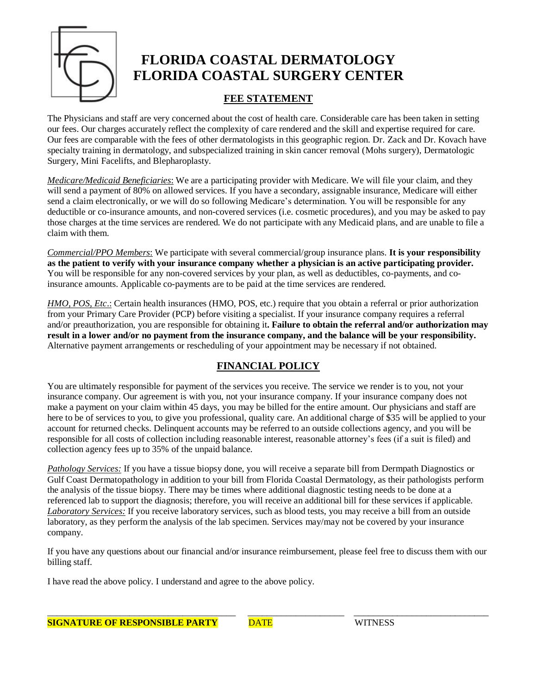

## **FLORIDA COASTAL DERMATOLOGY FLORIDA COASTAL SURGERY CENTER**

#### **FEE STATEMENT**

The Physicians and staff are very concerned about the cost of health care. Considerable care has been taken in setting our fees. Our charges accurately reflect the complexity of care rendered and the skill and expertise required for care. Our fees are comparable with the fees of other dermatologists in this geographic region. Dr. Zack and Dr. Kovach have specialty training in dermatology, and subspecialized training in skin cancer removal (Mohs surgery), Dermatologic Surgery, Mini Facelifts, and Blepharoplasty.

*Medicare/Medicaid Beneficiaries*: We are a participating provider with Medicare. We will file your claim, and they will send a payment of 80% on allowed services. If you have a secondary, assignable insurance, Medicare will either send a claim electronically, or we will do so following Medicare's determination. You will be responsible for any deductible or co-insurance amounts, and non-covered services (i.e. cosmetic procedures), and you may be asked to pay those charges at the time services are rendered. We do not participate with any Medicaid plans, and are unable to file a claim with them.

*Commercial/PPO Members*: We participate with several commercial/group insurance plans. **It is your responsibility as the patient to verify with your insurance company whether a physician is an active participating provider.** You will be responsible for any non-covered services by your plan, as well as deductibles, co-payments, and coinsurance amounts. Applicable co-payments are to be paid at the time services are rendered.

*HMO, POS, Etc.*: Certain health insurances (HMO, POS, etc.) require that you obtain a referral or prior authorization from your Primary Care Provider (PCP) before visiting a specialist. If your insurance company requires a referral and/or preauthorization, you are responsible for obtaining it**. Failure to obtain the referral and/or authorization may result in a lower and/or no payment from the insurance company, and the balance will be your responsibility.**  Alternative payment arrangements or rescheduling of your appointment may be necessary if not obtained.

#### **FINANCIAL POLICY**

You are ultimately responsible for payment of the services you receive. The service we render is to you, not your insurance company. Our agreement is with you, not your insurance company. If your insurance company does not make a payment on your claim within 45 days, you may be billed for the entire amount. Our physicians and staff are here to be of services to you, to give you professional, quality care. An additional charge of \$35 will be applied to your account for returned checks. Delinquent accounts may be referred to an outside collections agency, and you will be responsible for all costs of collection including reasonable interest, reasonable attorney's fees (if a suit is filed) and collection agency fees up to 35% of the unpaid balance.

*Pathology Services:* If you have a tissue biopsy done, you will receive a separate bill from Dermpath Diagnostics or Gulf Coast Dermatopathology in addition to your bill from Florida Coastal Dermatology, as their pathologists perform the analysis of the tissue biopsy. There may be times where additional diagnostic testing needs to be done at a referenced lab to support the diagnosis; therefore, you will receive an additional bill for these services if applicable. *Laboratory Services:* If you receive laboratory services, such as blood tests, you may receive a bill from an outside laboratory, as they perform the analysis of the lab specimen. Services may/may not be covered by your insurance company.

If you have any questions about our financial and/or insurance reimbursement, please feel free to discuss them with our billing staff.

I have read the above policy. I understand and agree to the above policy.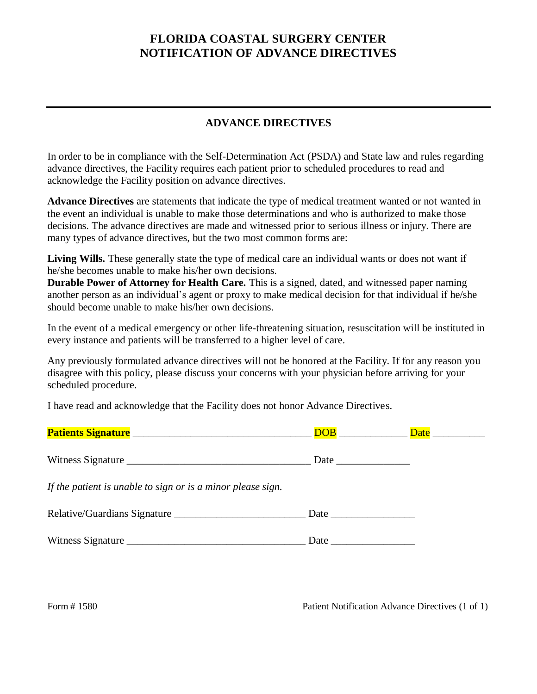#### **FLORIDA COASTAL SURGERY CENTER NOTIFICATION OF ADVANCE DIRECTIVES**

#### **ADVANCE DIRECTIVES**

In order to be in compliance with the Self-Determination Act (PSDA) and State law and rules regarding advance directives, the Facility requires each patient prior to scheduled procedures to read and acknowledge the Facility position on advance directives.

**Advance Directives** are statements that indicate the type of medical treatment wanted or not wanted in the event an individual is unable to make those determinations and who is authorized to make those decisions. The advance directives are made and witnessed prior to serious illness or injury. There are many types of advance directives, but the two most common forms are:

**Living Wills.** These generally state the type of medical care an individual wants or does not want if he/she becomes unable to make his/her own decisions.

**Durable Power of Attorney for Health Care.** This is a signed, dated, and witnessed paper naming another person as an individual's agent or proxy to make medical decision for that individual if he/she should become unable to make his/her own decisions.

In the event of a medical emergency or other life-threatening situation, resuscitation will be instituted in every instance and patients will be transferred to a higher level of care.

Any previously formulated advance directives will not be honored at the Facility. If for any reason you disagree with this policy, please discuss your concerns with your physician before arriving for your scheduled procedure.

I have read and acknowledge that the Facility does not honor Advance Directives.

|                                                             | <b>DOB Example 2</b> |  |
|-------------------------------------------------------------|----------------------|--|
|                                                             |                      |  |
| If the patient is unable to sign or is a minor please sign. |                      |  |
| Relative/Guardians Signature                                |                      |  |
|                                                             |                      |  |

Form # 1580 Patient Notification Advance Directives (1 of 1)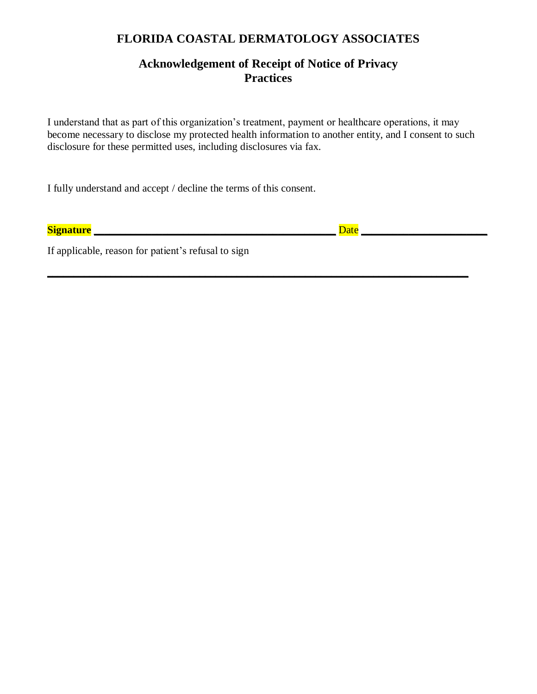#### **FLORIDA COASTAL DERMATOLOGY ASSOCIATES**

#### **Acknowledgement of Receipt of Notice of Privacy Practices**

I understand that as part of this organization's treatment, payment or healthcare operations, it may become necessary to disclose my protected health information to another entity, and I consent to such disclosure for these permitted uses, including disclosures via fax.

**\_\_\_\_\_\_\_\_\_\_\_\_\_\_\_\_\_\_\_\_\_\_\_\_\_\_\_\_\_\_\_\_\_\_\_\_\_\_\_\_\_\_\_\_\_\_\_\_\_\_\_\_\_\_\_\_\_\_\_\_\_\_\_\_\_\_\_\_\_\_\_\_\_\_\_\_\_\_\_\_**

I fully understand and accept / decline the terms of this consent.

**Signature \_\_\_\_\_\_\_\_\_\_\_\_\_\_\_\_\_\_\_\_\_\_\_\_\_\_\_\_\_\_\_\_\_\_\_\_\_\_\_\_\_\_\_\_\_\_** Date **\_\_\_\_\_\_\_\_\_\_\_\_\_\_\_\_\_\_\_\_\_\_\_\_**

If applicable, reason for patient's refusal to sign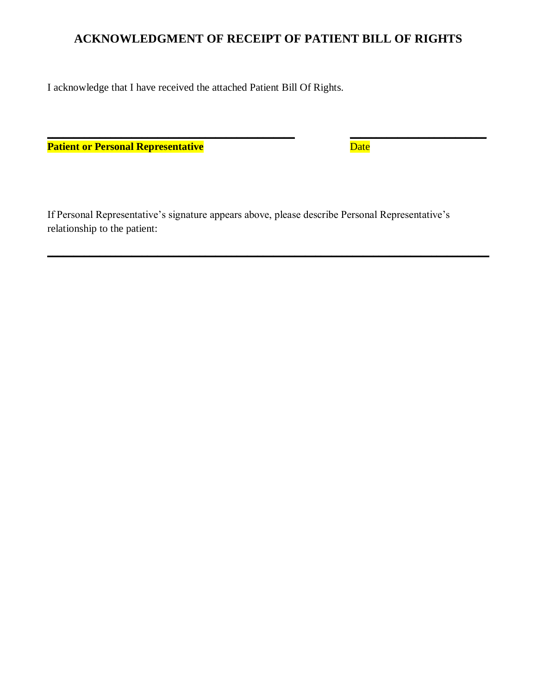### **ACKNOWLEDGMENT OF RECEIPT OF PATIENT BILL OF RIGHTS**

**\_\_\_\_\_\_\_\_\_\_\_\_\_\_\_\_\_\_\_\_\_\_\_\_\_\_\_\_\_\_\_\_\_\_\_\_\_\_\_\_\_\_\_\_\_\_\_ \_\_\_\_\_\_\_\_\_\_\_\_\_\_\_\_\_\_\_\_\_\_\_\_\_\_**

I acknowledge that I have received the attached Patient Bill Of Rights.

**Patient or Personal Representative** Date Date

If Personal Representative's signature appears above, please describe Personal Representative's relationship to the patient:

**\_\_\_\_\_\_\_\_\_\_\_\_\_\_\_\_\_\_\_\_\_\_\_\_\_\_\_\_\_\_\_\_\_\_\_\_\_\_\_\_\_\_\_\_\_\_\_\_\_\_\_\_\_\_\_\_\_\_\_\_\_\_\_\_\_\_\_\_\_\_\_\_\_\_\_\_\_\_\_\_\_\_\_\_**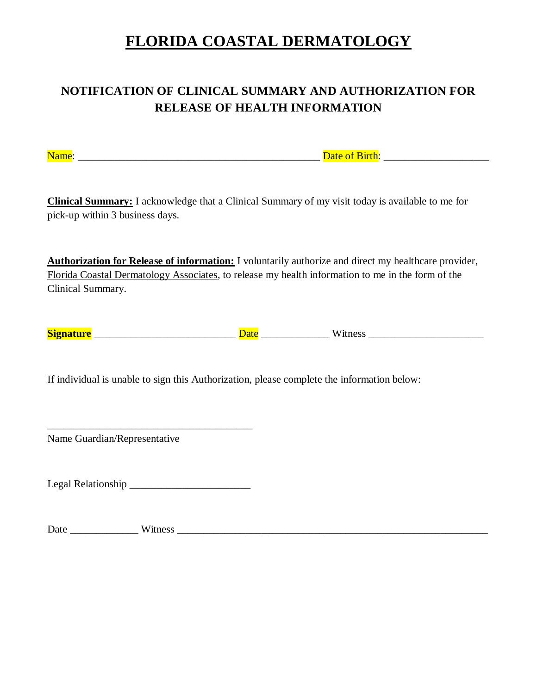# **FLORIDA COASTAL DERMATOLOGY**

## **NOTIFICATION OF CLINICAL SUMMARY AND AUTHORIZATION FOR RELEASE OF HEALTH INFORMATION**

Name: \_\_\_\_\_\_\_\_\_\_\_\_\_\_\_\_\_\_\_\_\_\_\_\_\_\_\_\_\_\_\_\_\_\_\_\_\_\_\_\_\_\_\_\_\_\_ Date of Birth: \_\_\_\_\_\_\_\_\_\_\_\_\_\_\_\_\_\_\_\_

**Clinical Summary:** I acknowledge that a Clinical Summary of my visit today is available to me for pick-up within 3 business days.

**Authorization for Release of information:** I voluntarily authorize and direct my healthcare provider, Florida Coastal Dermatology Associates, to release my health information to me in the form of the Clinical Summary.

| $\sim$<br>~ |  |  |  |
|-------------|--|--|--|
|-------------|--|--|--|

If individual is unable to sign this Authorization, please complete the information below:

Name Guardian/Representative

Legal Relationship \_\_\_\_\_\_\_\_\_\_\_\_\_\_\_\_\_\_\_\_\_\_\_

\_\_\_\_\_\_\_\_\_\_\_\_\_\_\_\_\_\_\_\_\_\_\_\_\_\_\_\_\_\_\_\_\_\_\_\_\_\_\_

Date \_\_\_\_\_\_\_\_\_\_\_\_\_ Witness \_\_\_\_\_\_\_\_\_\_\_\_\_\_\_\_\_\_\_\_\_\_\_\_\_\_\_\_\_\_\_\_\_\_\_\_\_\_\_\_\_\_\_\_\_\_\_\_\_\_\_\_\_\_\_\_\_\_\_